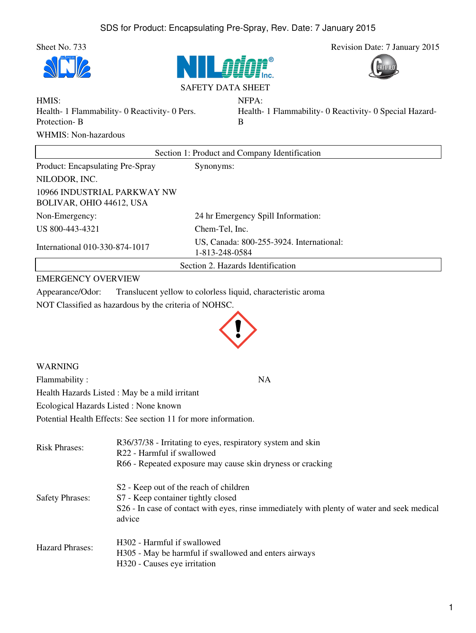







SAFETY DATA SHEET

NFPA:

HMIS: Health- 1 Flammability- 0 Reactivity- 0 Pers. Protection- B WHMIS: Non-hazardous

Health- 1 Flammability- 0 Reactivity- 0 Special Hazard-B

| Section 1: Product and Company Identification           |                                                            |  |
|---------------------------------------------------------|------------------------------------------------------------|--|
| Product: Encapsulating Pre-Spray                        | Synonyms:                                                  |  |
| NILODOR, INC.                                           |                                                            |  |
| 10966 INDUSTRIAL PARKWAY NW<br>BOLIVAR, OHIO 44612, USA |                                                            |  |
| Non-Emergency:                                          | 24 hr Emergency Spill Information:                         |  |
| US 800-443-4321                                         | Chem-Tel, Inc.                                             |  |
| International 010-330-874-1017                          | US, Canada: 800-255-3924. International:<br>1-813-248-0584 |  |
| Section 2. Hazards Identification                       |                                                            |  |

## EMERGENCY OVERVIEW

Appearance/Odor: Translucent yellow to colorless liquid, characteristic aroma

NOT Classified as hazardous by the criteria of NOHSC.



WARNING Flammability : NA Health Hazards Listed : May be a mild irritant Ecological Hazards Listed : None known Potential Health Effects: See section 11 for more information.

| <b>Risk Phrases:</b>   | R36/37/38 - Irritating to eyes, respiratory system and skin<br>R22 - Harmful if swallowed<br>R66 - Repeated exposure may cause skin dryness or cracking                                           |
|------------------------|---------------------------------------------------------------------------------------------------------------------------------------------------------------------------------------------------|
| <b>Safety Phrases:</b> | S <sub>2</sub> - Keep out of the reach of children<br>S7 - Keep container tightly closed<br>S26 - In case of contact with eyes, rinse immediately with plenty of water and seek medical<br>advice |
| <b>Hazard Phrases:</b> | H302 - Harmful if swallowed<br>H305 - May be harmful if swallowed and enters airways<br>H320 - Causes eye irritation                                                                              |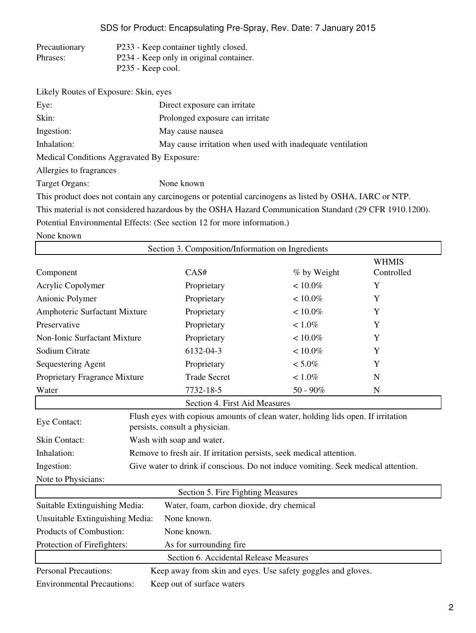## SDS for Product: Encapsulating Pre-Spray, Rev. Date: 7 January 2015

| Precautionary | P233 - Keep container tightly closed.   |
|---------------|-----------------------------------------|
| Phrases:      | P234 - Keep only in original container. |
|               | P235 - Keep cool.                       |

| Likely Routes of Exposure: Skin, eyes      |                                                                                                         |
|--------------------------------------------|---------------------------------------------------------------------------------------------------------|
| Eye:                                       | Direct exposure can irritate                                                                            |
| Skin:                                      | Prolonged exposure can irritate                                                                         |
| Ingestion:                                 | May cause nausea                                                                                        |
| Inhalation:                                | May cause irritation when used with inadequate ventilation                                              |
| Medical Conditions Aggravated By Exposure: |                                                                                                         |
| Allergies to fragrances                    |                                                                                                         |
| <b>Target Organs:</b>                      | None known                                                                                              |
|                                            | This product does not contain any carcinogens or potential carcinogens as listed by OSHA, IARC or NTP.  |
|                                            | This material is not considered hazardous by the OSHA Hazard Communication Standard (29 CFR 1910.1200). |
|                                            |                                                                                                         |

Potential Environmental Effects: (See section 12 for more information.)

None known

| Section 3. Composition/Information on Ingredients                          |                                                                                   |                                                                                                                    |             |                            |
|----------------------------------------------------------------------------|-----------------------------------------------------------------------------------|--------------------------------------------------------------------------------------------------------------------|-------------|----------------------------|
| Component                                                                  |                                                                                   | CAS#                                                                                                               | % by Weight | <b>WHMIS</b><br>Controlled |
| Acrylic Copolymer                                                          |                                                                                   | Proprietary                                                                                                        | $< 10.0\%$  | Y                          |
| Anionic Polymer                                                            |                                                                                   | Proprietary                                                                                                        | $< 10.0\%$  | Y                          |
| Amphoteric Surfactant Mixture                                              |                                                                                   | Proprietary                                                                                                        | $< 10.0\%$  | Y                          |
| Preservative                                                               |                                                                                   | Proprietary                                                                                                        | $< 1.0\%$   | Y                          |
| Non-Ionic Surfactant Mixture                                               |                                                                                   | Proprietary                                                                                                        | $< 10.0\%$  | Y                          |
| Sodium Citrate                                                             |                                                                                   | 6132-04-3                                                                                                          | $< 10.0\%$  | Y                          |
| Sequestering Agent                                                         |                                                                                   | Proprietary                                                                                                        | $< 5.0\%$   | Y                          |
| Proprietary Fragrance Mixture                                              |                                                                                   | <b>Trade Secret</b>                                                                                                | $< 1.0\%$   | N                          |
| Water                                                                      |                                                                                   | 7732-18-5                                                                                                          | $50 - 90\%$ | $\mathbf N$                |
|                                                                            |                                                                                   | Section 4. First Aid Measures                                                                                      |             |                            |
| Eye Contact:                                                               |                                                                                   | Flush eyes with copious amounts of clean water, holding lids open. If irritation<br>persists, consult a physician. |             |                            |
| Skin Contact:                                                              |                                                                                   | Wash with soap and water.                                                                                          |             |                            |
| Inhalation:                                                                |                                                                                   | Remove to fresh air. If irritation persists, seek medical attention.                                               |             |                            |
| Ingestion:                                                                 | Give water to drink if conscious. Do not induce vomiting. Seek medical attention. |                                                                                                                    |             |                            |
| Note to Physicians:                                                        |                                                                                   |                                                                                                                    |             |                            |
| Section 5. Fire Fighting Measures                                          |                                                                                   |                                                                                                                    |             |                            |
| Water, foam, carbon dioxide, dry chemical<br>Suitable Extinguishing Media: |                                                                                   |                                                                                                                    |             |                            |
| Unsuitable Extinguishing Media:<br>None known.                             |                                                                                   |                                                                                                                    |             |                            |
| Products of Combustion:<br>None known.                                     |                                                                                   |                                                                                                                    |             |                            |
| Protection of Firefighters:<br>As for surrounding fire                     |                                                                                   |                                                                                                                    |             |                            |
|                                                                            |                                                                                   | Section 6. Accidental Release Measures                                                                             |             |                            |
| <b>Personal Precautions:</b>                                               |                                                                                   | Keep away from skin and eyes. Use safety goggles and gloves.                                                       |             |                            |
| <b>Environmental Precautions:</b><br>Keep out of surface waters            |                                                                                   |                                                                                                                    |             |                            |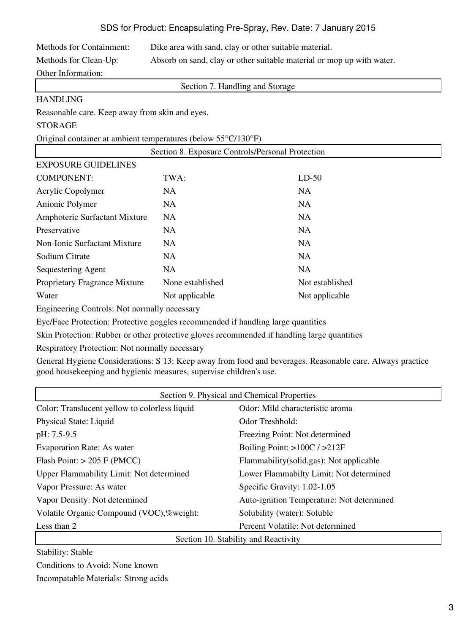| <b>Methods for Containment:</b> | Dike area with sand, clay or other suitable material.                 |
|---------------------------------|-----------------------------------------------------------------------|
| Methods for Clean-Up:           | Absorb on sand, clay or other suitable material or mop up with water. |
| Other Information:              |                                                                       |

Section 7. Handling and Storage

## HANDLING

Reasonable care. Keep away from skin and eyes.

## STORAGE

Original container at ambient temperatures (below 55°C/130°F)

| Section 8. Exposure Controls/Personal Protection |                  |                 |  |
|--------------------------------------------------|------------------|-----------------|--|
| <b>EXPOSURE GUIDELINES</b>                       |                  |                 |  |
| <b>COMPONENT:</b>                                | TWA:             | $LD-50$         |  |
| Acrylic Copolymer                                | NA.              | <b>NA</b>       |  |
| Anionic Polymer                                  | NA.              | <b>NA</b>       |  |
| Amphoteric Surfactant Mixture                    | <b>NA</b>        | <b>NA</b>       |  |
| Preservative                                     | <b>NA</b>        | <b>NA</b>       |  |
| <b>Non-Ionic Surfactant Mixture</b>              | <b>NA</b>        | <b>NA</b>       |  |
| Sodium Citrate                                   | NA.              | <b>NA</b>       |  |
| Sequestering Agent                               | NA.              | <b>NA</b>       |  |
| Proprietary Fragrance Mixture                    | None established | Not established |  |
| Water                                            | Not applicable   | Not applicable  |  |

Engineering Controls: Not normally necessary

Eye/Face Protection: Protective goggles recommended if handling large quantities

Skin Protection: Rubber or other protective gloves recommended if handling large quantities

Respiratory Protection: Not normally necessary

General Hygiene Considerations: S 13: Keep away from food and beverages. Reasonable care. Always practice good housekeeping and hygienic measures, supervise children's use.

| Section 9. Physical and Chemical Properties     |                                           |  |
|-------------------------------------------------|-------------------------------------------|--|
| Color: Translucent yellow to colorless liquid   | Odor: Mild characteristic aroma           |  |
| Physical State: Liquid                          | Odor Treshhold:                           |  |
| pH: 7.5-9.5                                     | Freezing Point: Not determined            |  |
| <b>Evaporation Rate: As water</b>               | Boiling Point: $>100C / >212F$            |  |
| Flash Point: $> 205$ F (PMCC)                   | Flammability (solid, gas): Not applicable |  |
| <b>Upper Flammability Limit: Not determined</b> | Lower Flammabilty Limit: Not determined   |  |
| Vapor Pressure: As water                        | Specific Gravity: 1.02-1.05               |  |
| Vapor Density: Not determined                   | Auto-ignition Temperature: Not determined |  |
| Volatile Organic Compound (VOC),%weight:        | Solubility (water): Soluble               |  |
| Less than 2                                     | Percent Volatile: Not determined          |  |
| Section 10. Stability and Reactivity            |                                           |  |

Stability: Stable

Conditions to Avoid: None known

Incompatable Materials: Strong acids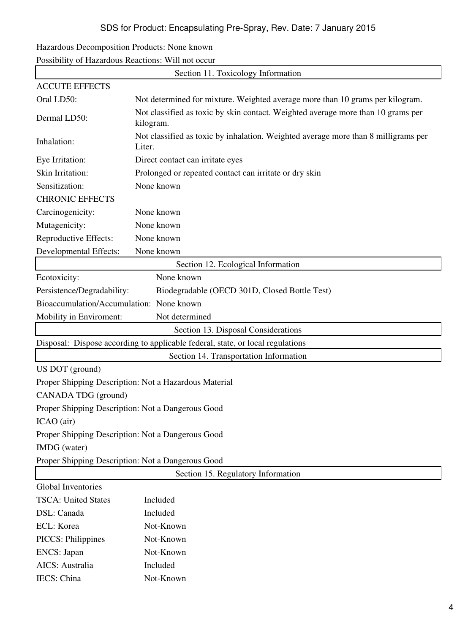| Hazardous Decomposition Products: None known |  |  |
|----------------------------------------------|--|--|
|                                              |  |  |

Possibility of Hazardous Reactions: Will not occur

IECS: China Not-Known

| Section 11. Toxicology Information                |                                                                                               |  |  |
|---------------------------------------------------|-----------------------------------------------------------------------------------------------|--|--|
| <b>ACCUTE EFFECTS</b>                             |                                                                                               |  |  |
| Oral LD50:                                        | Not determined for mixture. Weighted average more than 10 grams per kilogram.                 |  |  |
| Dermal LD50:                                      | Not classified as toxic by skin contact. Weighted average more than 10 grams per<br>kilogram. |  |  |
| Inhalation:                                       | Not classified as toxic by inhalation. Weighted average more than 8 milligrams per<br>Liter.  |  |  |
| Eye Irritation:                                   | Direct contact can irritate eyes                                                              |  |  |
| Skin Irritation:                                  | Prolonged or repeated contact can irritate or dry skin                                        |  |  |
| Sensitization:                                    | None known                                                                                    |  |  |
| <b>CHRONIC EFFECTS</b>                            |                                                                                               |  |  |
| Carcinogenicity:                                  | None known                                                                                    |  |  |
| Mutagenicity:                                     | None known                                                                                    |  |  |
| Reproductive Effects:                             | None known                                                                                    |  |  |
| <b>Developmental Effects:</b>                     | None known                                                                                    |  |  |
|                                                   | Section 12. Ecological Information                                                            |  |  |
| Ecotoxicity:                                      | None known                                                                                    |  |  |
| Persistence/Degradability:                        | Biodegradable (OECD 301D, Closed Bottle Test)                                                 |  |  |
| Bioaccumulation/Accumulation: None known          |                                                                                               |  |  |
| Mobility in Enviroment:                           | Not determined                                                                                |  |  |
|                                                   | Section 13. Disposal Considerations                                                           |  |  |
|                                                   | Disposal: Dispose according to applicable federal, state, or local regulations                |  |  |
|                                                   | Section 14. Transportation Information                                                        |  |  |
| US DOT (ground)                                   |                                                                                               |  |  |
|                                                   | Proper Shipping Description: Not a Hazardous Material                                         |  |  |
| CANADA TDG (ground)                               |                                                                                               |  |  |
| Proper Shipping Description: Not a Dangerous Good |                                                                                               |  |  |
| ICAO (air)                                        |                                                                                               |  |  |
| Proper Shipping Description: Not a Dangerous Good |                                                                                               |  |  |
| IMDG (water)                                      |                                                                                               |  |  |
| Proper Shipping Description: Not a Dangerous Good |                                                                                               |  |  |
| Section 15. Regulatory Information                |                                                                                               |  |  |
| <b>Global Inventories</b>                         |                                                                                               |  |  |
| <b>TSCA: United States</b>                        | Included                                                                                      |  |  |
| DSL: Canada                                       | Included                                                                                      |  |  |
| ECL: Korea                                        | Not-Known                                                                                     |  |  |
| <b>PICCS: Philippines</b>                         | Not-Known                                                                                     |  |  |
| <b>ENCS</b> : Japan                               | Not-Known                                                                                     |  |  |
| AICS: Australia                                   | Included                                                                                      |  |  |